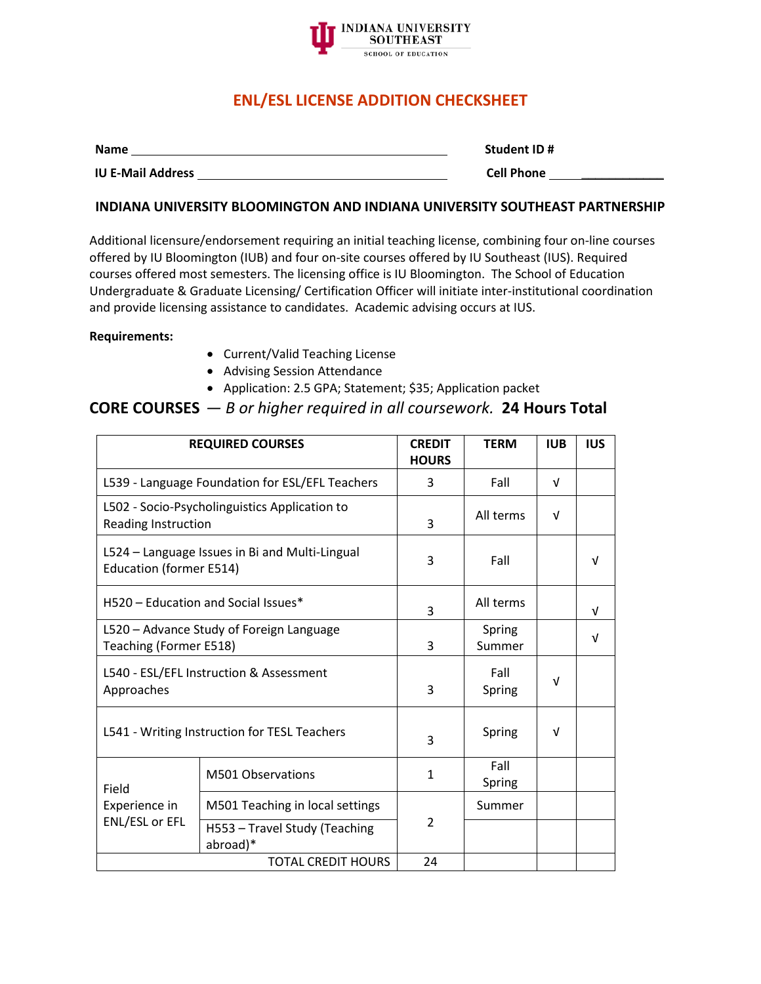

# **ENL/ESL LICENSE ADDITION CHECKSHEET**

| <b>Name</b>              | Student ID#       |
|--------------------------|-------------------|
| <b>IU E-Mail Address</b> | <b>Cell Phone</b> |

### **INDIANA UNIVERSITY BLOOMINGTON AND INDIANA UNIVERSITY SOUTHEAST PARTNERSHIP**

Additional licensure/endorsement requiring an initial teaching license, combining four on-line courses offered by IU Bloomington (IUB) and four on-site courses offered by IU Southeast (IUS). Required courses offered most semesters. The licensing office is IU Bloomington. The School of Education Undergraduate & Graduate Licensing/ Certification Officer will initiate inter-institutional coordination and provide licensing assistance to candidates. Academic advising occurs at IUS.

#### **Requirements:**

- Current/Valid Teaching License
- Advising Session Attendance
- Application: 2.5 GPA; Statement; \$35; Application packet

## **CORE COURSES** *— B or higher required in all coursework.* **24 Hours Total**

|                                                                           | <b>REQUIRED COURSES</b>                       | <b>CREDIT</b><br><b>HOURS</b> | <b>TERM</b>      | <b>IUB</b> | <b>IUS</b> |
|---------------------------------------------------------------------------|-----------------------------------------------|-------------------------------|------------------|------------|------------|
| L539 - Language Foundation for ESL/EFL Teachers                           |                                               | 3                             | Fall             | $\sqrt{ }$ |            |
| Reading Instruction                                                       | L502 - Socio-Psycholinguistics Application to | 3                             | All terms        | V          |            |
| L524 - Language Issues in Bi and Multi-Lingual<br>Education (former E514) |                                               | 3                             | Fall             |            | v          |
|                                                                           | H520 - Education and Social Issues*           | 3                             | All terms        |            | V          |
| Teaching (Former E518)                                                    | L520 - Advance Study of Foreign Language      | 3                             | Spring<br>Summer |            | V          |
| Approaches                                                                | L540 - ESL/EFL Instruction & Assessment       | 3                             | Fall<br>Spring   | $\sqrt{ }$ |            |
|                                                                           | L541 - Writing Instruction for TESL Teachers  | 3                             | Spring           | v          |            |
| Field<br>Experience in<br><b>ENL/ESL or EFL</b>                           | M501 Observations                             | 1                             | Fall<br>Spring   |            |            |
|                                                                           | M501 Teaching in local settings               | 2                             | Summer           |            |            |
|                                                                           | H553 - Travel Study (Teaching<br>abroad)*     |                               |                  |            |            |
| <b>TOTAL CREDIT HOURS</b>                                                 |                                               | 24                            |                  |            |            |